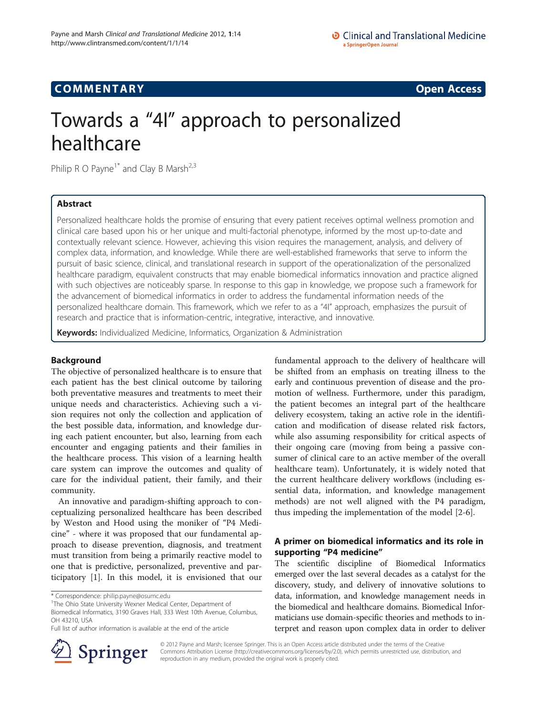## COMM EN TARY Open Access

# Towards a "4I" approach to personalized healthcare

Philip R O Payne<sup>1\*</sup> and Clay B Marsh<sup>2,3</sup>

## Abstract

Personalized healthcare holds the promise of ensuring that every patient receives optimal wellness promotion and clinical care based upon his or her unique and multi-factorial phenotype, informed by the most up-to-date and contextually relevant science. However, achieving this vision requires the management, analysis, and delivery of complex data, information, and knowledge. While there are well-established frameworks that serve to inform the pursuit of basic science, clinical, and translational research in support of the operationalization of the personalized healthcare paradigm, equivalent constructs that may enable biomedical informatics innovation and practice aligned with such objectives are noticeably sparse. In response to this gap in knowledge, we propose such a framework for the advancement of biomedical informatics in order to address the fundamental information needs of the personalized healthcare domain. This framework, which we refer to as a "4I" approach, emphasizes the pursuit of research and practice that is information-centric, integrative, interactive, and innovative.

Keywords: Individualized Medicine, Informatics, Organization & Administration

## Background

The objective of personalized healthcare is to ensure that each patient has the best clinical outcome by tailoring both preventative measures and treatments to meet their unique needs and characteristics. Achieving such a vision requires not only the collection and application of the best possible data, information, and knowledge during each patient encounter, but also, learning from each encounter and engaging patients and their families in the healthcare process. This vision of a learning health care system can improve the outcomes and quality of care for the individual patient, their family, and their community.

An innovative and paradigm-shifting approach to conceptualizing personalized healthcare has been described by Weston and Hood using the moniker of "P4 Medicine" - where it was proposed that our fundamental approach to disease prevention, diagnosis, and treatment must transition from being a primarily reactive model to one that is predictive, personalized, preventive and participatory [[1](#page-4-0)]. In this model, it is envisioned that our fundamental approach to the delivery of healthcare will be shifted from an emphasis on treating illness to the early and continuous prevention of disease and the promotion of wellness. Furthermore, under this paradigm, the patient becomes an integral part of the healthcare delivery ecosystem, taking an active role in the identification and modification of disease related risk factors, while also assuming responsibility for critical aspects of their ongoing care (moving from being a passive consumer of clinical care to an active member of the overall healthcare team). Unfortunately, it is widely noted that the current healthcare delivery workflows (including essential data, information, and knowledge management methods) are not well aligned with the P4 paradigm, thus impeding the implementation of the model [\[2](#page-4-0)-[6\]](#page-4-0).

## A primer on biomedical informatics and its role in supporting "P4 medicine"

The scientific discipline of Biomedical Informatics emerged over the last several decades as a catalyst for the discovery, study, and delivery of innovative solutions to data, information, and knowledge management needs in the biomedical and healthcare domains. Biomedical Informaticians use domain-specific theories and methods to interpret and reason upon complex data in order to deliver



© 2012 Payne and Marsh; licensee Springer. This is an Open Access article distributed under the terms of the Creative Commons Attribution License (<http://creativecommons.org/licenses/by/2.0>), which permits unrestricted use, distribution, and reproduction in any medium, provided the original work is properly cited.

<sup>\*</sup> Correspondence: [philip.payne@osumc.edu](mailto:philip.payne@osumc.edu) <sup>1</sup>

<sup>&</sup>lt;sup>1</sup>The Ohio State University Wexner Medical Center, Department of

Biomedical Informatics, 3190 Graves Hall, 333 West 10th Avenue, Columbus, OH 43210, USA

Full list of author information is available at the end of the article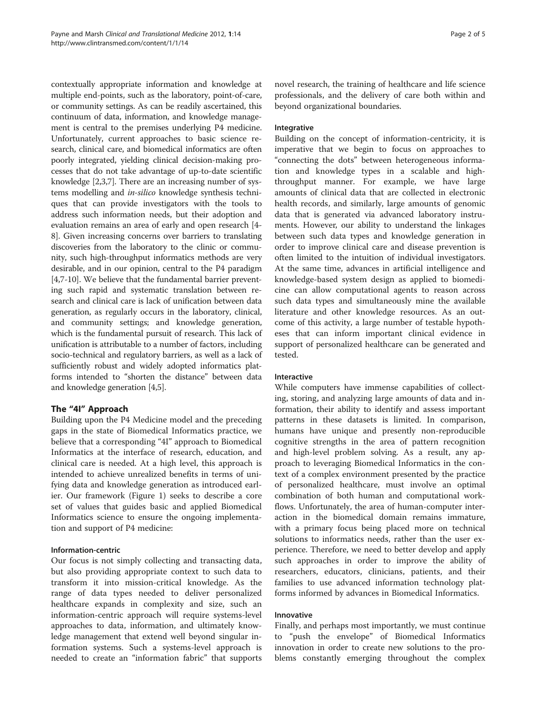contextually appropriate information and knowledge at multiple end-points, such as the laboratory, point-of-care, or community settings. As can be readily ascertained, this continuum of data, information, and knowledge management is central to the premises underlying P4 medicine. Unfortunately, current approaches to basic science research, clinical care, and biomedical informatics are often poorly integrated, yielding clinical decision-making processes that do not take advantage of up-to-date scientific knowledge [\[2,3,7](#page-4-0)]. There are an increasing number of systems modelling and in-silico knowledge synthesis techniques that can provide investigators with the tools to address such information needs, but their adoption and evaluation remains an area of early and open research [\[4](#page-4-0)- [8\]](#page-4-0). Given increasing concerns over barriers to translating discoveries from the laboratory to the clinic or community, such high-throughput informatics methods are very desirable, and in our opinion, central to the P4 paradigm [[4,7-10\]](#page-4-0). We believe that the fundamental barrier preventing such rapid and systematic translation between research and clinical care is lack of unification between data generation, as regularly occurs in the laboratory, clinical, and community settings; and knowledge generation, which is the fundamental pursuit of research. This lack of unification is attributable to a number of factors, including socio-technical and regulatory barriers, as well as a lack of sufficiently robust and widely adopted informatics platforms intended to "shorten the distance" between data and knowledge generation [[4,5](#page-4-0)].

## The "4I" Approach

Building upon the P4 Medicine model and the preceding gaps in the state of Biomedical Informatics practice, we believe that a corresponding "4I" approach to Biomedical Informatics at the interface of research, education, and clinical care is needed. At a high level, this approach is intended to achieve unrealized benefits in terms of unifying data and knowledge generation as introduced earlier. Our framework (Figure [1\)](#page-2-0) seeks to describe a core set of values that guides basic and applied Biomedical Informatics science to ensure the ongoing implementation and support of P4 medicine:

### Information-centric

Our focus is not simply collecting and transacting data, but also providing appropriate context to such data to transform it into mission-critical knowledge. As the range of data types needed to deliver personalized healthcare expands in complexity and size, such an information-centric approach will require systems-level approaches to data, information, and ultimately knowledge management that extend well beyond singular information systems. Such a systems-level approach is needed to create an "information fabric" that supports

novel research, the training of healthcare and life science professionals, and the delivery of care both within and beyond organizational boundaries.

## Integrative

Building on the concept of information-centricity, it is imperative that we begin to focus on approaches to "connecting the dots" between heterogeneous information and knowledge types in a scalable and highthroughput manner. For example, we have large amounts of clinical data that are collected in electronic health records, and similarly, large amounts of genomic data that is generated via advanced laboratory instruments. However, our ability to understand the linkages between such data types and knowledge generation in order to improve clinical care and disease prevention is often limited to the intuition of individual investigators. At the same time, advances in artificial intelligence and knowledge-based system design as applied to biomedicine can allow computational agents to reason across such data types and simultaneously mine the available literature and other knowledge resources. As an outcome of this activity, a large number of testable hypotheses that can inform important clinical evidence in support of personalized healthcare can be generated and tested.

### Interactive

While computers have immense capabilities of collecting, storing, and analyzing large amounts of data and information, their ability to identify and assess important patterns in these datasets is limited. In comparison, humans have unique and presently non-reproducible cognitive strengths in the area of pattern recognition and high-level problem solving. As a result, any approach to leveraging Biomedical Informatics in the context of a complex environment presented by the practice of personalized healthcare, must involve an optimal combination of both human and computational workflows. Unfortunately, the area of human-computer interaction in the biomedical domain remains immature, with a primary focus being placed more on technical solutions to informatics needs, rather than the user experience. Therefore, we need to better develop and apply such approaches in order to improve the ability of researchers, educators, clinicians, patients, and their families to use advanced information technology platforms informed by advances in Biomedical Informatics.

### Innovative

Finally, and perhaps most importantly, we must continue to "push the envelope" of Biomedical Informatics innovation in order to create new solutions to the problems constantly emerging throughout the complex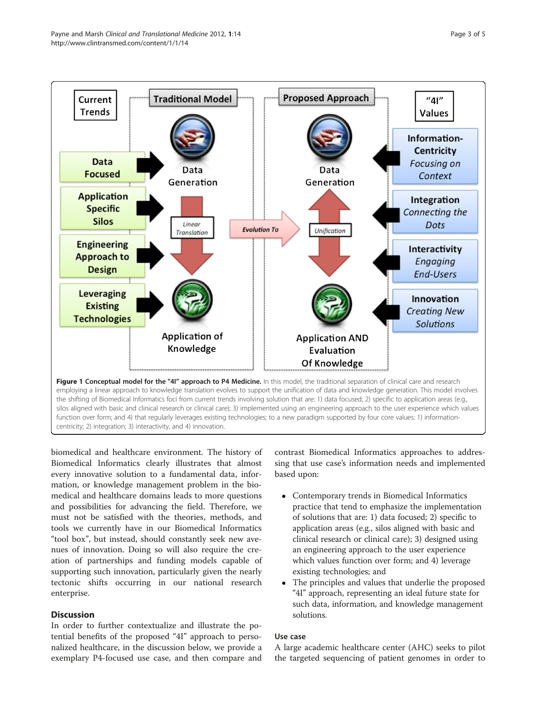<span id="page-2-0"></span>

biomedical and healthcare environment. The history of Biomedical Informatics clearly illustrates that almost every innovative solution to a fundamental data, information, or knowledge management problem in the biomedical and healthcare domains leads to more questions and possibilities for advancing the field. Therefore, we must not be satisfied with the theories, methods, and tools we currently have in our Biomedical Informatics "tool box", but instead, should constantly seek new avenues of innovation. Doing so will also require the creation of partnerships and funding models capable of supporting such innovation, particularly given the nearly tectonic shifts occurring in our national research enterprise.

## **Discussion**

In order to further contextualize and illustrate the potential benefits of the proposed "4I" approach to personalized healthcare, in the discussion below, we provide a exemplary P4-focused use case, and then compare and contrast Biomedical Informatics approaches to addressing that use case's information needs and implemented based upon:

- Contemporary trends in Biomedical Informatics practice that tend to emphasize the implementation of solutions that are: 1) data focused; 2) specific to application areas (e.g., silos aligned with basic and clinical research or clinical care); 3) designed using an engineering approach to the user experience which values function over form; and 4) leverage existing technologies; and
- The principles and values that underlie the proposed "4I" approach, representing an ideal future state for such data, information, and knowledge management solutions.

### Use case

A large academic healthcare center (AHC) seeks to pilot the targeted sequencing of patient genomes in order to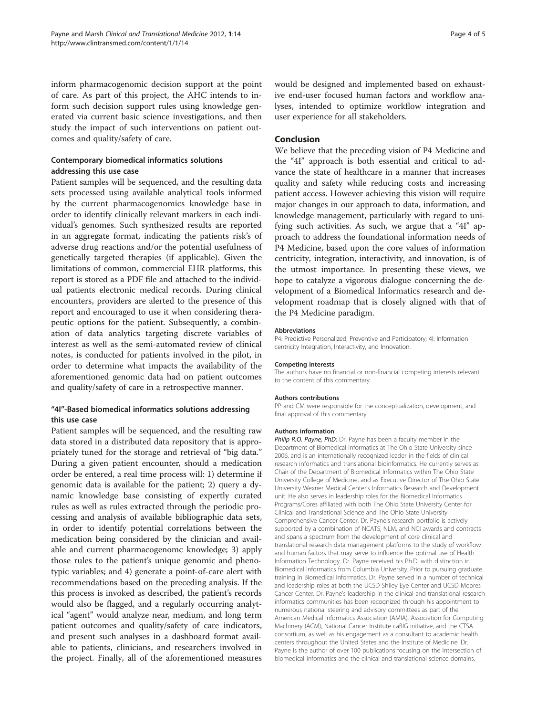inform pharmacogenomic decision support at the point of care. As part of this project, the AHC intends to inform such decision support rules using knowledge generated via current basic science investigations, and then study the impact of such interventions on patient outcomes and quality/safety of care.

## Contemporary biomedical informatics solutions addressing this use case

Patient samples will be sequenced, and the resulting data sets processed using available analytical tools informed by the current pharmacogenomics knowledge base in order to identify clinically relevant markers in each individual's genomes. Such synthesized results are reported in an aggregate format, indicating the patients risk's of adverse drug reactions and/or the potential usefulness of genetically targeted therapies (if applicable). Given the limitations of common, commercial EHR platforms, this report is stored as a PDF file and attached to the individual patients electronic medical records. During clinical encounters, providers are alerted to the presence of this report and encouraged to use it when considering therapeutic options for the patient. Subsequently, a combination of data analytics targeting discrete variables of interest as well as the semi-automated review of clinical notes, is conducted for patients involved in the pilot, in order to determine what impacts the availability of the aforementioned genomic data had on patient outcomes and quality/safety of care in a retrospective manner.

## "4I"-Based biomedical informatics solutions addressing this use case

Patient samples will be sequenced, and the resulting raw data stored in a distributed data repository that is appropriately tuned for the storage and retrieval of "big data." During a given patient encounter, should a medication order be entered, a real time process will: 1) determine if genomic data is available for the patient; 2) query a dynamic knowledge base consisting of expertly curated rules as well as rules extracted through the periodic processing and analysis of available bibliographic data sets, in order to identify potential correlations between the medication being considered by the clinician and available and current pharmacogenomc knowledge; 3) apply those rules to the patient's unique genomic and phenotypic variables; and 4) generate a point-of-care alert with recommendations based on the preceding analysis. If the this process is invoked as described, the patient's records would also be flagged, and a regularly occurring analytical "agent" would analyze near, medium, and long term patient outcomes and quality/safety of care indicators, and present such analyses in a dashboard format available to patients, clinicians, and researchers involved in the project. Finally, all of the aforementioned measures

would be designed and implemented based on exhaustive end-user focused human factors and workflow analyses, intended to optimize workflow integration and user experience for all stakeholders.

#### Conclusion

We believe that the preceding vision of P4 Medicine and the "4I" approach is both essential and critical to advance the state of healthcare in a manner that increases quality and safety while reducing costs and increasing patient access. However achieving this vision will require major changes in our approach to data, information, and knowledge management, particularly with regard to unifying such activities. As such, we argue that a "4I" approach to address the foundational information needs of P4 Medicine, based upon the core values of information centricity, integration, interactivity, and innovation, is of the utmost importance. In presenting these views, we hope to catalyze a vigorous dialogue concerning the development of a Biomedical Informatics research and development roadmap that is closely aligned with that of the P4 Medicine paradigm.

#### Abbreviations

P4: Predictive Personalized, Preventive and Participatory; 4I: Information centricity Integration, Interactivity, and Innovation.

#### Competing interests

The authors have no financial or non-financial competing interests relevant to the content of this commentary.

#### Authors contributions

PP and CM were responsible for the conceptualization, development, and final approval of this commentary.

#### Authors information

Philip R.O. Payne, PhD: Dr. Payne has been a faculty member in the Department of Biomedical Informatics at The Ohio State University since 2006, and is an internationally recognized leader in the fields of clinical research informatics and translational bioinformatics. He currently serves as Chair of the Department of Biomedical Informatics within The Ohio State University College of Medicine, and as Executive Director of The Ohio State University Wexner Medical Center's Informatics Research and Development unit. He also serves in leadership roles for the Biomedical Informatics Programs/Cores affiliated with both The Ohio State University Center for Clinical and Translational Science and The Ohio State University Comprehensive Cancer Center. Dr. Payne's research portfolio is actively supported by a combination of NCATS, NLM, and NCI awards and contracts and spans a spectrum from the development of core clinical and translational research data management platforms to the study of workflow and human factors that may serve to influence the optimal use of Health Information Technology. Dr. Payne received his Ph.D. with distinction in Biomedical Informatics from Columbia University. Prior to pursuing graduate training in Biomedical Informatics, Dr. Payne served in a number of technical and leadership roles at both the UCSD Shiley Eye Center and UCSD Moores Cancer Center. Dr. Payne's leadership in the clinical and translational research informatics communities has been recognized through his appointment to numerous national steering and advisory committees as part of the American Medical Informatics Association (AMIA), Association for Computing Machinery (ACM), National Cancer Institute caBIG initiative, and the CTSA consortium, as well as his engagement as a consultant to academic health centers throughout the United States and the Institute of Medicine. Dr. Payne is the author of over 100 publications focusing on the intersection of biomedical informatics and the clinical and translational science domains,